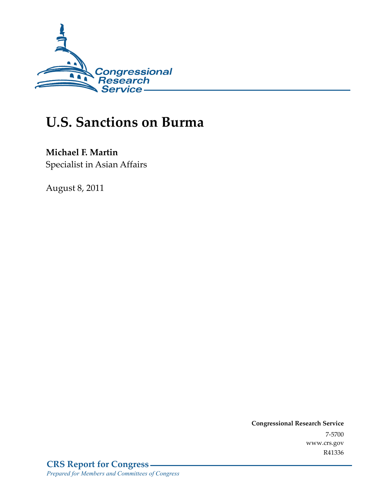

# **U.S. Sanctions on Burma**

### **Michael F. Martin**

Specialist in Asian Affairs

August 8, 2011

**Congressional Research Service**  7-5700 www.crs.gov R41336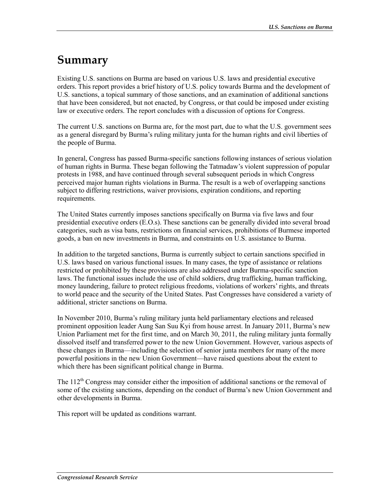## **Summary**

Existing U.S. sanctions on Burma are based on various U.S. laws and presidential executive orders. This report provides a brief history of U.S. policy towards Burma and the development of U.S. sanctions, a topical summary of those sanctions, and an examination of additional sanctions that have been considered, but not enacted, by Congress, or that could be imposed under existing law or executive orders. The report concludes with a discussion of options for Congress.

The current U.S. sanctions on Burma are, for the most part, due to what the U.S. government sees as a general disregard by Burma's ruling military junta for the human rights and civil liberties of the people of Burma.

In general, Congress has passed Burma-specific sanctions following instances of serious violation of human rights in Burma. These began following the Tatmadaw's violent suppression of popular protests in 1988, and have continued through several subsequent periods in which Congress perceived major human rights violations in Burma. The result is a web of overlapping sanctions subject to differing restrictions, waiver provisions, expiration conditions, and reporting requirements.

The United States currently imposes sanctions specifically on Burma via five laws and four presidential executive orders (E.O.s). These sanctions can be generally divided into several broad categories, such as visa bans, restrictions on financial services, prohibitions of Burmese imported goods, a ban on new investments in Burma, and constraints on U.S. assistance to Burma.

In addition to the targeted sanctions, Burma is currently subject to certain sanctions specified in U.S. laws based on various functional issues. In many cases, the type of assistance or relations restricted or prohibited by these provisions are also addressed under Burma-specific sanction laws. The functional issues include the use of child soldiers, drug trafficking, human trafficking, money laundering, failure to protect religious freedoms, violations of workers' rights, and threats to world peace and the security of the United States. Past Congresses have considered a variety of additional, stricter sanctions on Burma.

In November 2010, Burma's ruling military junta held parliamentary elections and released prominent opposition leader Aung San Suu Kyi from house arrest. In January 2011, Burma's new Union Parliament met for the first time, and on March 30, 2011, the ruling military junta formally dissolved itself and transferred power to the new Union Government. However, various aspects of these changes in Burma—including the selection of senior junta members for many of the more powerful positions in the new Union Government—have raised questions about the extent to which there has been significant political change in Burma.

The  $112<sup>th</sup>$  Congress may consider either the imposition of additional sanctions or the removal of some of the existing sanctions, depending on the conduct of Burma's new Union Government and other developments in Burma.

This report will be updated as conditions warrant.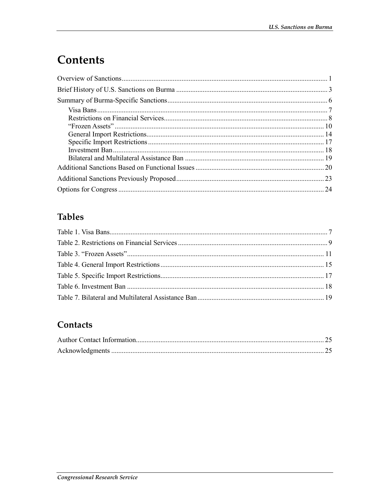# Contents

### **Tables**

### Contacts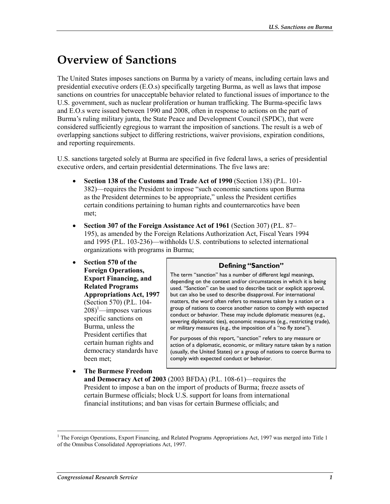## **Overview of Sanctions**

The United States imposes sanctions on Burma by a variety of means, including certain laws and presidential executive orders (E.O.s) specifically targeting Burma, as well as laws that impose sanctions on countries for unacceptable behavior related to functional issues of importance to the U.S. government, such as nuclear proliferation or human trafficking. The Burma-specific laws and E.O.s were issued between 1990 and 2008, often in response to actions on the part of Burma's ruling military junta, the State Peace and Development Council (SPDC), that were considered sufficiently egregious to warrant the imposition of sanctions. The result is a web of overlapping sanctions subject to differing restrictions, waiver provisions, expiration conditions, and reporting requirements.

U.S. sanctions targeted solely at Burma are specified in five federal laws, a series of presidential executive orders, and certain presidential determinations. The five laws are:

- **Section 138 of the Customs and Trade Act of 1990** (Section 138) (P.L. 101- 382)—requires the President to impose "such economic sanctions upon Burma as the President determines to be appropriate," unless the President certifies certain conditions pertaining to human rights and counternarcotics have been met;
- **Section 307 of the Foreign Assistance Act of 1961** (Section 307) (P.L. 87– 195), as amended by the Foreign Relations Authorization Act, Fiscal Years 1994 and 1995 (P.L. 103-236)—withholds U.S. contributions to selected international organizations with programs in Burma;
- **Section 570 of the Foreign Operations, Export Financing, and Related Programs Appropriations Act, 1997** (Section 570) (P.L. 104-  $(208)^1$ —imposes various specific sanctions on Burma, unless the President certifies that certain human rights and democracy standards have been met;
- **The Burmese Freedom**

#### **Defining "Sanction"**

The term "sanction" has a number of different legal meanings, depending on the context and/or circumstances in which it is being used. "Sanction" can be used to describe tacit or explicit approval, but can also be used to describe disapproval. For international matters, the word often refers to measures taken by a nation or a group of nations to coerce another nation to comply with expected conduct or behavior. These may include diplomatic measures (e.g., severing diplomatic ties), economic measures (e.g., restricting trade), or military measures (e.g., the imposition of a "no fly zone").

For purposes of this report, "sanction" refers to any measure or action of a diplomatic, economic, or military nature taken by a nation (usually, the United States) or a group of nations to coerce Burma to comply with expected conduct or behavior.

**and Democracy Act of 2003** (2003 BFDA) (P.L. 108-61)—requires the President to impose a ban on the import of products of Burma; freeze assets of certain Burmese officials; block U.S. support for loans from international financial institutions; and ban visas for certain Burmese officials; and

<sup>1</sup> <sup>1</sup> The Foreign Operations, Export Financing, and Related Programs Appropriations Act, 1997 was merged into Title 1 of the Omnibus Consolidated Appropriations Act, 1997.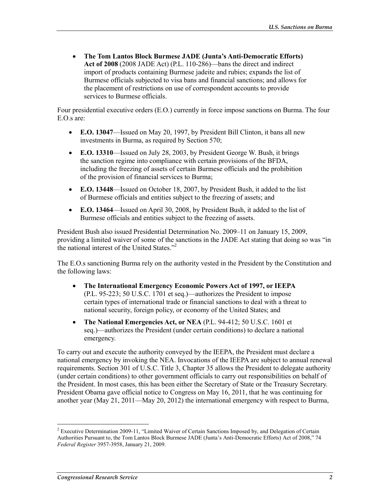• **The Tom Lantos Block Burmese JADE (Junta's Anti-Democratic Efforts) Act of 2008** (2008 JADE Act) (P.L. 110-286)—bans the direct and indirect import of products containing Burmese jadeite and rubies; expands the list of Burmese officials subjected to visa bans and financial sanctions; and allows for the placement of restrictions on use of correspondent accounts to provide services to Burmese officials.

Four presidential executive orders (E.O.) currently in force impose sanctions on Burma. The four E.O.s are:

- **E.O. 13047**—Issued on May 20, 1997, by President Bill Clinton, it bans all new investments in Burma, as required by Section 570;
- **E.O. 13310**—Issued on July 28, 2003, by President George W. Bush, it brings the sanction regime into compliance with certain provisions of the BFDA, including the freezing of assets of certain Burmese officials and the prohibition of the provision of financial services to Burma;
- **E.O. 13448**—Issued on October 18, 2007, by President Bush, it added to the list of Burmese officials and entities subject to the freezing of assets; and
- **E.O. 13464**—Issued on April 30, 2008, by President Bush, it added to the list of Burmese officials and entities subject to the freezing of assets.

President Bush also issued Presidential Determination No. 2009–11 on January 15, 2009, providing a limited waiver of some of the sanctions in the JADE Act stating that doing so was "in the national interest of the United States."<sup>2</sup>

The E.O.s sanctioning Burma rely on the authority vested in the President by the Constitution and the following laws:

- **The International Emergency Economic Powers Act of 1997, or IEEPA** (P.L. 95-223; 50 U.S.C. 1701 et seq.)—authorizes the President to impose certain types of international trade or financial sanctions to deal with a threat to national security, foreign policy, or economy of the United States; and
- **The National Emergencies Act, or NEA** (P.L. 94-412; 50 U.S.C. 1601 et seq.)—authorizes the President (under certain conditions) to declare a national emergency.

To carry out and execute the authority conveyed by the IEEPA, the President must declare a national emergency by invoking the NEA. Invocations of the IEEPA are subject to annual renewal requirements. Section 301 of U.S.C. Title 3, Chapter 35 allows the President to delegate authority (under certain conditions) to other government officials to carry out responsibilities on behalf of the President. In most cases, this has been either the Secretary of State or the Treasury Secretary. President Obama gave official notice to Congress on May 16, 2011, that he was continuing for another year (May 21, 2011—May 20, 2012) the international emergency with respect to Burma,

**Executive Determination 2009-11, "Limited Waiver of Certain Sanctions Imposed by, and Delegation of Certain** Authorities Pursuant to, the Tom Lantos Block Burmese JADE (Junta's Anti-Democratic Efforts) Act of 2008," 74 *Federal Register* 3957-3958, January 21, 2009.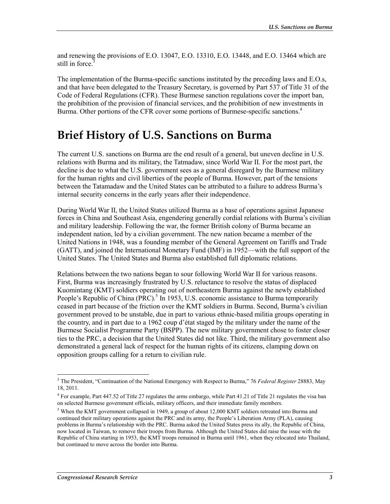and renewing the provisions of E.O. 13047, E.O. 13310, E.O. 13448, and E.O. 13464 which are still in force.<sup>3</sup>

The implementation of the Burma-specific sanctions instituted by the preceding laws and E.O.s, and that have been delegated to the Treasury Secretary, is governed by Part 537 of Title 31 of the Code of Federal Regulations (CFR). These Burmese sanction regulations cover the import ban, the prohibition of the provision of financial services, and the prohibition of new investments in Burma. Other portions of the CFR cover some portions of Burmese-specific sanctions.<sup>4</sup>

## **Brief History of U.S. Sanctions on Burma**

The current U.S. sanctions on Burma are the end result of a general, but uneven decline in U.S. relations with Burma and its military, the Tatmadaw, since World War II. For the most part, the decline is due to what the U.S. government sees as a general disregard by the Burmese military for the human rights and civil liberties of the people of Burma. However, part of the tensions between the Tatamadaw and the United States can be attributed to a failure to address Burma's internal security concerns in the early years after their independence.

During World War II, the United States utilized Burma as a base of operations against Japanese forces in China and Southeast Asia, engendering generally cordial relations with Burma's civilian and military leadership. Following the war, the former British colony of Burma became an independent nation, led by a civilian government. The new nation became a member of the United Nations in 1948, was a founding member of the General Agreement on Tariffs and Trade (GATT), and joined the International Monetary Fund (IMF) in 1952—with the full support of the United States. The United States and Burma also established full diplomatic relations.

Relations between the two nations began to sour following World War II for various reasons. First, Burma was increasingly frustrated by U.S. reluctance to resolve the status of displaced Kuomintang (KMT) soldiers operating out of northeastern Burma against the newly established People's Republic of China (PRC).<sup>5</sup> In 1953, U.S. economic assistance to Burma temporarily ceased in part because of the friction over the KMT soldiers in Burma. Second, Burma's civilian government proved to be unstable, due in part to various ethnic-based militia groups operating in the country, and in part due to a 1962 coup d'état staged by the military under the name of the Burmese Socialist Programme Party (BSPP). The new military government chose to foster closer ties to the PRC, a decision that the United States did not like. Third, the military government also demonstrated a general lack of respect for the human rights of its citizens, clamping down on opposition groups calling for a return to civilian rule.

<sup>3</sup> The President, "Continuation of the National Emergency with Respect to Burma," 76 *Federal Register* 28883, May 18, 2011.

<sup>&</sup>lt;sup>4</sup> For example, Part 447.52 of Title 27 regulates the arms embargo, while Part 41.21 of Title 21 regulates the visa ban on selected Burmese government officials, military officers, and their immediate family members.

 $<sup>5</sup>$  When the KMT government collapsed in 1949, a group of about 12,000 KMT soldiers retreated into Burma and</sup> continued their military operations against the PRC and its army, the People's Liberation Army (PLA), causing problems in Burma's relationship with the PRC. Burma asked the United States press its ally, the Republic of China, now located in Taiwan, to remove their troops from Burma. Although the United States did raise the issue with the Republic of China starting in 1953, the KMT troops remained in Burma until 1961, when they relocated into Thailand, but continued to move across the border into Burma.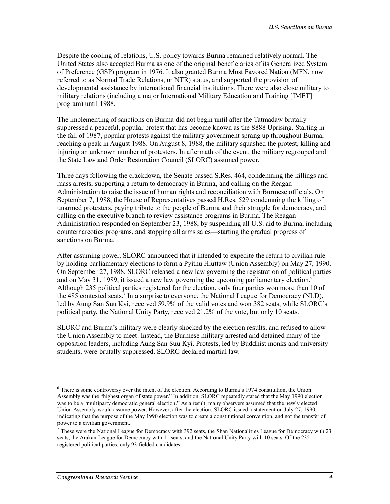Despite the cooling of relations, U.S. policy towards Burma remained relatively normal. The United States also accepted Burma as one of the original beneficiaries of its Generalized System of Preference (GSP) program in 1976. It also granted Burma Most Favored Nation (MFN, now referred to as Normal Trade Relations, or NTR) status, and supported the provision of developmental assistance by international financial institutions. There were also close military to military relations (including a major International Military Education and Training [IMET] program) until 1988.

The implementing of sanctions on Burma did not begin until after the Tatmadaw brutally suppressed a peaceful, popular protest that has become known as the 8888 Uprising. Starting in the fall of 1987, popular protests against the military government sprang up throughout Burma, reaching a peak in August 1988. On August 8, 1988, the military squashed the protest, killing and injuring an unknown number of protesters. In aftermath of the event, the military regrouped and the State Law and Order Restoration Council (SLORC) assumed power.

Three days following the crackdown, the Senate passed S.Res. 464, condemning the killings and mass arrests, supporting a return to democracy in Burma, and calling on the Reagan Administration to raise the issue of human rights and reconciliation with Burmese officials. On September 7, 1988, the House of Representatives passed H.Res. 529 condemning the killing of unarmed protesters, paying tribute to the people of Burma and their struggle for democracy, and calling on the executive branch to review assistance programs in Burma. The Reagan Administration responded on September 23, 1988, by suspending all U.S. aid to Burma, including counternarcotics programs, and stopping all arms sales—starting the gradual progress of sanctions on Burma.

After assuming power, SLORC announced that it intended to expedite the return to civilian rule by holding parliamentary elections to form a Pyithu Hluttaw (Union Assembly) on May 27, 1990. On September 27, 1988, SLORC released a new law governing the registration of political parties and on May 31, 1989, it issued a new law governing the upcoming parliamentary election.<sup>6</sup> Although 235 political parties registered for the election, only four parties won more than 10 of the 485 contested seats.<sup>7</sup> In a surprise to everyone, the National League for Democracy (NLD), led by Aung San Suu Kyi, received 59.9% of the valid votes and won 382 seats, while SLORC's political party, the National Unity Party, received 21.2% of the vote, but only 10 seats.

SLORC and Burma's military were clearly shocked by the election results, and refused to allow the Union Assembly to meet. Instead, the Burmese military arrested and detained many of the opposition leaders, including Aung San Suu Kyi. Protests, led by Buddhist monks and university students, were brutally suppressed. SLORC declared martial law.

<sup>&</sup>lt;sup>6</sup> There is some controversy over the intent of the election. According to Burma's 1974 constitution, the Union Assembly was the "highest organ of state power." In addition, SLORC repeatedly stated that the May 1990 election was to be a "multiparty democratic general election." As a result, many observers assumed that the newly elected Union Assembly would assume power. However, after the election, SLORC issued a statement on July 27, 1990, indicating that the purpose of the May 1990 election was to create a constitutional convention, and not the transfer of power to a civilian government.

 $7$  These were the National League for Democracy with 392 seats, the Shan Nationalities League for Democracy with 23 seats, the Arakan League for Democracy with 11 seats, and the National Unity Party with 10 seats. Of the 235 registered political parties, only 93 fielded candidates.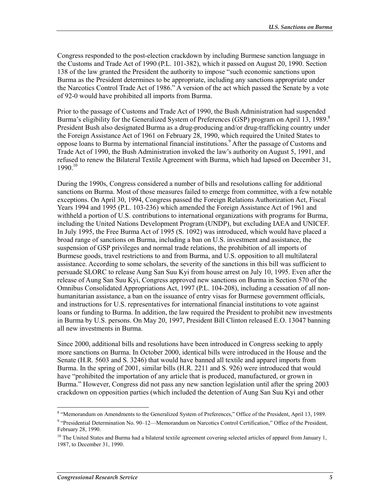Congress responded to the post-election crackdown by including Burmese sanction language in the Customs and Trade Act of 1990 (P.L. 101-382), which it passed on August 20, 1990. Section 138 of the law granted the President the authority to impose "such economic sanctions upon Burma as the President determines to be appropriate, including any sanctions appropriate under the Narcotics Control Trade Act of 1986." A version of the act which passed the Senate by a vote of 92-0 would have prohibited all imports from Burma.

Prior to the passage of Customs and Trade Act of 1990, the Bush Administration had suspended Burma's eligibility for the Generalized System of Preferences (GSP) program on April 13, 1989.<sup>8</sup> President Bush also designated Burma as a drug-producing and/or drug-trafficking country under the Foreign Assistance Act of 1961 on February 28, 1990, which required the United States to oppose loans to Burma by international financial institutions.<sup>9</sup> After the passage of Customs and Trade Act of 1990, the Bush Administration invoked the law's authority on August 5, 1991, and refused to renew the Bilateral Textile Agreement with Burma, which had lapsed on December 31,  $1990^{10}$ 

During the 1990s, Congress considered a number of bills and resolutions calling for additional sanctions on Burma. Most of those measures failed to emerge from committee, with a few notable exceptions. On April 30, 1994, Congress passed the Foreign Relations Authorization Act, Fiscal Years 1994 and 1995 (P.L. 103-236) which amended the Foreign Assistance Act of 1961 and withheld a portion of U.S. contributions to international organizations with programs for Burma, including the United Nations Development Program (UNDP), but excluding IAEA and UNICEF. In July 1995, the Free Burma Act of 1995 (S. 1092) was introduced, which would have placed a broad range of sanctions on Burma, including a ban on U.S. investment and assistance, the suspension of GSP privileges and normal trade relations, the prohibition of all imports of Burmese goods, travel restrictions to and from Burma, and U.S. opposition to all multilateral assistance. According to some scholars, the severity of the sanctions in this bill was sufficient to persuade SLORC to release Aung San Suu Kyi from house arrest on July 10, 1995. Even after the release of Aung San Suu Kyi, Congress approved new sanctions on Burma in Section 570 of the Omnibus Consolidated Appropriations Act, 1997 (P.L. 104-208), including a cessation of all nonhumanitarian assistance, a ban on the issuance of entry visas for Burmese government officials, and instructions for U.S. representatives for international financial institutions to vote against loans or funding to Burma. In addition, the law required the President to prohibit new investments in Burma by U.S. persons. On May 20, 1997, President Bill Clinton released E.O. 13047 banning all new investments in Burma.

Since 2000, additional bills and resolutions have been introduced in Congress seeking to apply more sanctions on Burma. In October 2000, identical bills were introduced in the House and the Senate (H.R. 5603 and S. 3246) that would have banned all textile and apparel imports from Burma. In the spring of 2001, similar bills (H.R. 2211 and S. 926) were introduced that would have "prohibited the importation of any article that is produced, manufactured, or grown in Burma." However, Congress did not pass any new sanction legislation until after the spring 2003 crackdown on opposition parties (which included the detention of Aung San Suu Kyi and other

<sup>&</sup>lt;sup>8</sup> "Memorandum on Amendments to the Generalized System of Preferences," Office of the President, April 13, 1989.

<sup>&</sup>lt;sup>9</sup> "Presidential Determination No. 90–12—Memorandum on Narcotics Control Certification," Office of the President, February 28, 1990.

 $10$  The United States and Burma had a bilateral textile agreement covering selected articles of apparel from January 1, 1987, to December 31, 1990.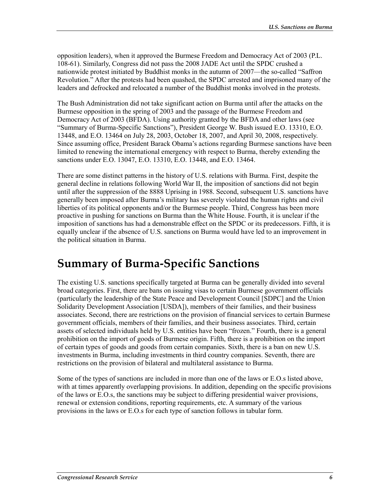opposition leaders), when it approved the Burmese Freedom and Democracy Act of 2003 (P.L. 108-61). Similarly, Congress did not pass the 2008 JADE Act until the SPDC crushed a nationwide protest initiated by Buddhist monks in the autumn of 2007—the so-called "Saffron Revolution." After the protests had been quashed, the SPDC arrested and imprisoned many of the leaders and defrocked and relocated a number of the Buddhist monks involved in the protests.

The Bush Administration did not take significant action on Burma until after the attacks on the Burmese opposition in the spring of 2003 and the passage of the Burmese Freedom and Democracy Act of 2003 (BFDA). Using authority granted by the BFDA and other laws (see "Summary of Burma-Specific Sanctions"), President George W. Bush issued E.O. 13310, E.O. 13448, and E.O. 13464 on July 28, 2003, October 18, 2007, and April 30, 2008, respectively. Since assuming office, President Barack Obama's actions regarding Burmese sanctions have been limited to renewing the international emergency with respect to Burma, thereby extending the sanctions under E.O. 13047, E.O. 13310, E.O. 13448, and E.O. 13464.

There are some distinct patterns in the history of U.S. relations with Burma. First, despite the general decline in relations following World War II, the imposition of sanctions did not begin until after the suppression of the 8888 Uprising in 1988. Second, subsequent U.S. sanctions have generally been imposed after Burma's military has severely violated the human rights and civil liberties of its political opponents and/or the Burmese people. Third, Congress has been more proactive in pushing for sanctions on Burma than the White House. Fourth, it is unclear if the imposition of sanctions has had a demonstrable effect on the SPDC or its predecessors. Fifth, it is equally unclear if the absence of U.S. sanctions on Burma would have led to an improvement in the political situation in Burma.

## **Summary of Burma-Specific Sanctions**

The existing U.S. sanctions specifically targeted at Burma can be generally divided into several broad categories. First, there are bans on issuing visas to certain Burmese government officials (particularly the leadership of the State Peace and Development Council [SDPC] and the Union Solidarity Development Association [USDA]), members of their families, and their business associates. Second, there are restrictions on the provision of financial services to certain Burmese government officials, members of their families, and their business associates. Third, certain assets of selected individuals held by U.S. entities have been "frozen." Fourth, there is a general prohibition on the import of goods of Burmese origin. Fifth, there is a prohibition on the import of certain types of goods and goods from certain companies. Sixth, there is a ban on new U.S. investments in Burma, including investments in third country companies. Seventh, there are restrictions on the provision of bilateral and multilateral assistance to Burma.

Some of the types of sanctions are included in more than one of the laws or E.O.s listed above, with at times apparently overlapping provisions. In addition, depending on the specific provisions of the laws or E.O.s, the sanctions may be subject to differing presidential waiver provisions, renewal or extension conditions, reporting requirements, etc. A summary of the various provisions in the laws or E.O.s for each type of sanction follows in tabular form.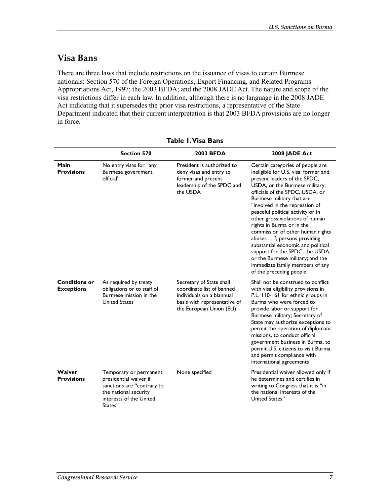### **Visa Bans**

There are three laws that include restrictions on the issuance of visas to certain Burmese nationals: Section 570 of the Foreign Operations, Export Financing, and Related Programs Appropriations Act, 1997; the 2003 BFDA; and the 2008 JADE Act. The nature and scope of the visa restrictions differ in each law. In addition, although there is no language in the 2008 JADE Act indicating that it supersedes the prior visa restrictions, a representative of the State Department indicated that their current interpretation is that 2003 BFDA provisions are no longer in force.

|                                           | <b>Section 570</b>                                                                                                                            | <b>2003 BFDA</b>                                                                                                                              | 2008 JADE Act                                                                                                                                                                                                                                                                                                                                                                                                                                                                                                                                                                                    |
|-------------------------------------------|-----------------------------------------------------------------------------------------------------------------------------------------------|-----------------------------------------------------------------------------------------------------------------------------------------------|--------------------------------------------------------------------------------------------------------------------------------------------------------------------------------------------------------------------------------------------------------------------------------------------------------------------------------------------------------------------------------------------------------------------------------------------------------------------------------------------------------------------------------------------------------------------------------------------------|
| Main<br><b>Provisions</b>                 | No entry visas for "any<br>Burmese government<br>official"                                                                                    | President is authorized to<br>deny visas and entry to<br>former and present<br>leadership of the SPDC and<br>the USDA                         | Certain categories of people are<br>ineligible for U.S. visa: former and<br>present leaders of the SPDC,<br>USDA, or the Burmese military;<br>officials of the SPDC, USDA, or<br>Burmese military that are<br>"involved in the repression of<br>peaceful political activity or in<br>other gross violations of human<br>rights in Burma or in the<br>commission of other human rights<br>abuses  "; persons providing<br>substantial economic and political<br>support for the SPDC, the USDA,<br>or the Burmese military; and the<br>immediate family members of any<br>of the preceding people |
| <b>Conditions or</b><br><b>Exceptions</b> | As required by treaty<br>obligations or to staff of<br>Burmese mission in the<br><b>United States</b>                                         | Secretary of State shall<br>coordinate list of banned<br>individuals on a biannual<br>basis with representative of<br>the European Union (EU) | Shall not be construed to conflict<br>with visa eligibility provisions in<br>P.L. 110-161 for ethnic groups in<br>Burma who were forced to<br>provide labor or support for<br>Burmese military; Secretary of<br>State may authorize exceptions to<br>permit the operation of diplomatic<br>missions, to conduct official<br>government business in Burma, to<br>permit U.S. citizens to visit Burma,<br>and permit compliance with<br>international agreements                                                                                                                                   |
| Waiver<br><b>Provisions</b>               | Temporary or permanent<br>presidential waiver if<br>sanctions are "contrary to<br>the national security<br>interests of the United<br>States" | None specified                                                                                                                                | Presidential waiver allowed only if<br>he determines and certifies in<br>writing to Congress that it is "in<br>the national interests of the<br>United States"                                                                                                                                                                                                                                                                                                                                                                                                                                   |

**Table 1. Visa Bans**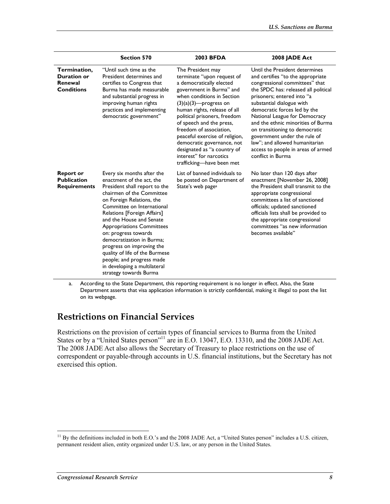|                                                                    | <b>Section 570</b>                                                                                                                                                                                                                                                                                                                                                                                                                                                                         | <b>2003 BFDA</b>                                                                                                                                                                                                                                                                                                                                                                                                                                | 2008 JADE Act                                                                                                                                                                                                                                                                                                                                                                                                                                                                  |
|--------------------------------------------------------------------|--------------------------------------------------------------------------------------------------------------------------------------------------------------------------------------------------------------------------------------------------------------------------------------------------------------------------------------------------------------------------------------------------------------------------------------------------------------------------------------------|-------------------------------------------------------------------------------------------------------------------------------------------------------------------------------------------------------------------------------------------------------------------------------------------------------------------------------------------------------------------------------------------------------------------------------------------------|--------------------------------------------------------------------------------------------------------------------------------------------------------------------------------------------------------------------------------------------------------------------------------------------------------------------------------------------------------------------------------------------------------------------------------------------------------------------------------|
| Termination,<br><b>Duration or</b><br>Renewal<br><b>Conditions</b> | "Until such time as the<br>President determines and<br>certifies to Congress that<br>Burma has made measurable<br>and substantial progress in<br>improving human rights<br>practices and implementing<br>democratic government"                                                                                                                                                                                                                                                            | The President may<br>terminate "upon request of<br>a democratically elected<br>government in Burma" and<br>when conditions in Section<br>$(3)(a)(3)$ —progress on<br>human rights, release of all<br>political prisoners, freedom<br>of speech and the press,<br>freedom of association.<br>peaceful exercise of religion,<br>democratic governance, not<br>designated as "a country of<br>interest" for narcotics<br>trafficking-have been met | Until the President determines<br>and certifies "to the appropriate<br>congressional committees" that<br>the SPDC has: released all political<br>prisoners; entered into "a<br>substantial dialogue with<br>democratic forces led by the<br>National League for Democracy<br>and the ethnic minorities of Burma<br>on transitioning to democratic<br>government under the rule of<br>law"; and allowed humanitarian<br>access to people in areas of armed<br>conflict in Burma |
| <b>Report or</b><br><b>Publication</b><br><b>Requirements</b>      | Every six months after the<br>enactment of the act, the<br>President shall report to the<br>chairmen of the Committee<br>on Foreign Relations, the<br>Committee on International<br>Relations [Foreign Affairs]<br>and the House and Senate<br><b>Appropriations Committees</b><br>on: progress towards<br>democratization in Burma;<br>progress on improving the<br>quality of life of the Burmese<br>people; and progress made<br>in developing a multilateral<br>strategy towards Burma | List of banned individuals to<br>be posted on Department of<br>State's web page <sup>a</sup>                                                                                                                                                                                                                                                                                                                                                    | No later than 120 days after<br>enactment [November 26, 2008]<br>the President shall transmit to the<br>appropriate congressional<br>committees a list of sanctioned<br>officials; updated sanctioned<br>officials lists shall be provided to<br>the appropriate congressional<br>committees "as new information<br>becomes available"                                                                                                                                         |

a. According to the State Department, this reporting requirement is no longer in effect. Also, the State Department asserts that visa application information is strictly confidential, making it illegal to post the list on its webpage.

#### **Restrictions on Financial Services**

Restrictions on the provision of certain types of financial services to Burma from the United States or by a "United States person"<sup>11</sup> are in E.O. 13047, E.O. 13310, and the 2008 JADE Act. The 2008 JADE Act also allows the Secretary of Treasury to place restrictions on the use of correspondent or payable-through accounts in U.S. financial institutions, but the Secretary has not exercised this option.

 $11$  By the definitions included in both E.O.'s and the 2008 JADE Act, a "United States person" includes a U.S. citizen, permanent resident alien, entity organized under U.S. law, or any person in the United States.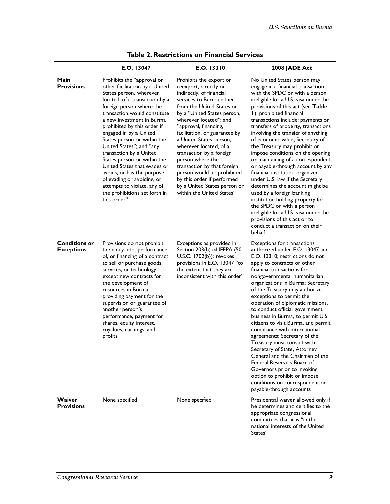|                                           | E.O. 13047                                                                                                                                                                                                                                                                                                                                                                                                                                                                                                                                                                  | E.O. 13310                                                                                                                                                                                                                                                                                                                                                                                                                                                                                                            | 2008 JADE Act                                                                                                                                                                                                                                                                                                                                                                                                                                                                                                                                                                                                                                                                                                                                                                                                                             |
|-------------------------------------------|-----------------------------------------------------------------------------------------------------------------------------------------------------------------------------------------------------------------------------------------------------------------------------------------------------------------------------------------------------------------------------------------------------------------------------------------------------------------------------------------------------------------------------------------------------------------------------|-----------------------------------------------------------------------------------------------------------------------------------------------------------------------------------------------------------------------------------------------------------------------------------------------------------------------------------------------------------------------------------------------------------------------------------------------------------------------------------------------------------------------|-------------------------------------------------------------------------------------------------------------------------------------------------------------------------------------------------------------------------------------------------------------------------------------------------------------------------------------------------------------------------------------------------------------------------------------------------------------------------------------------------------------------------------------------------------------------------------------------------------------------------------------------------------------------------------------------------------------------------------------------------------------------------------------------------------------------------------------------|
| Main<br><b>Provisions</b>                 | Prohibits the "approval or<br>other facilitation by a United<br>States person, wherever<br>located, of a transaction by a<br>foreign person where the<br>transaction would constitute<br>a new investment in Burma<br>prohibited by this order if<br>engaged in by a United<br>States person or within the<br>United States"; and "any<br>transaction by a United<br>States person or within the<br>United States that evades or<br>avoids, or has the purpose<br>of evading or avoiding, or<br>attempts to violate, any of<br>the prohibitions set forth in<br>this order" | Prohibits the export or<br>reexport, directly or<br>indirectly, of financial<br>services to Burma either<br>from the United States or<br>by a "United States person,<br>wherever located"; and<br>"approval, financing,<br>facilitation, or guarantee by<br>a United States person,<br>wherever located, of a<br>transaction by a foreign<br>person where the<br>transaction by that foreign<br>person would be prohibited<br>by this order if performed<br>by a United States person or<br>within the United States" | No United States person may<br>engage in a financial transaction<br>with the SPDC or with a person<br>ineligible for a U.S. visa under the<br>provisions of this act (see Table<br>I); prohibited financial<br>transactions include: payments or<br>transfers of property, transactions<br>involving the transfer of anything<br>of economic value; Secretary of<br>the Treasury may prohibit or<br>impose conditions on the opening<br>or maintaining of a correspondent<br>or payable-through account by any<br>financial institution organized<br>under U.S. law if the Secretary<br>determines the account might be<br>used by a foreign banking<br>institution holding property for<br>the SPDC or with a person<br>ineligible for a U.S. visa under the<br>provisions of this act or to<br>conduct a transaction on their<br>behalf |
| <b>Conditions or</b><br><b>Exceptions</b> | Provisions do not prohibit<br>the entry into, performance<br>of, or financing of a contract<br>to sell or purchase goods,<br>services, or technology,<br>except new contracts for<br>the development of<br>resources in Burma<br>providing payment for the<br>supervision or guarantee of<br>another person's<br>performance, payment for<br>shares, equity interest,<br>royalties, earnings, and<br>profits                                                                                                                                                                | Exceptions as provided in<br>Section 203(b) of IEEPA (50<br>U.S.C. 1702(b)); revokes<br>provisions in E.O. 13047 "to<br>the extent that they are<br>inconsistent with this order"                                                                                                                                                                                                                                                                                                                                     | <b>Exceptions for transactions</b><br>authorized under E.O. 13047 and<br>E.O. 13310; restrictions do not<br>apply to contracts or other<br>financial transactions for<br>nongovernmental humanitarian<br>organizations in Burma; Secretary<br>of the Treasury may authorize<br>exceptions to permit the<br>operation of diplomatic missions,<br>to conduct official government<br>business in Burma, to permit U.S.<br>citizens to visit Burma, and permit<br>compliance with international<br>agreements; Secretary of the<br>Treasury must consult with<br>Secretary of State, Attorney<br>General and the Chairman of the<br>Federal Reserve's Board of<br>Governors prior to invoking<br>option to prohibit or impose<br>conditions on correspondent or<br>payable-through accounts                                                   |
| Waiver<br><b>Provisions</b>               | None specified                                                                                                                                                                                                                                                                                                                                                                                                                                                                                                                                                              | None specified                                                                                                                                                                                                                                                                                                                                                                                                                                                                                                        | Presidential waiver allowed only if<br>he determines and certifies to the<br>appropriate congressional<br>committees that it is "in the<br>national interests of the United<br>States"                                                                                                                                                                                                                                                                                                                                                                                                                                                                                                                                                                                                                                                    |

#### **Table 2. Restrictions on Financial Services**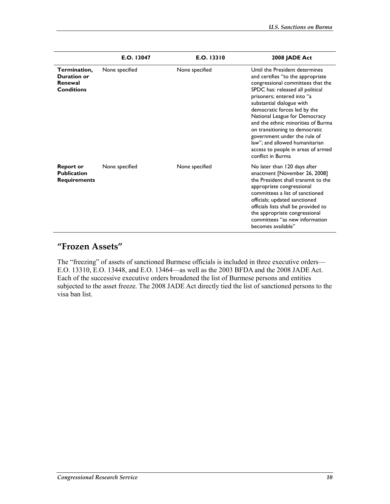|                                                               | E.O. 13047     | E.O. 13310     | 2008 JADE Act                                                                                                                                                                                                                                                                                                                                                                                                                                                                 |
|---------------------------------------------------------------|----------------|----------------|-------------------------------------------------------------------------------------------------------------------------------------------------------------------------------------------------------------------------------------------------------------------------------------------------------------------------------------------------------------------------------------------------------------------------------------------------------------------------------|
| Termination,<br>Duration or<br>Renewal<br><b>Conditions</b>   | None specified | None specified | Until the President determines<br>and certifies "to the appropriate<br>congressional committees that the<br>SPDC has: released all political<br>prisoners; entered into "a<br>substantial dialogue with<br>democratic forces led by the<br>National League for Democracy<br>and the ethnic minorities of Burma<br>on transitioning to democratic<br>government under the rule of<br>law"; and allowed humanitarian<br>access to people in areas of armed<br>conflict in Burma |
| <b>Report or</b><br><b>Publication</b><br><b>Requirements</b> | None specified | None specified | No later than 120 days after<br>enactment [November 26, 2008]<br>the President shall transmit to the<br>appropriate congressional<br>committees a list of sanctioned<br>officials; updated sanctioned<br>officials lists shall be provided to<br>the appropriate congressional<br>committees "as new information<br>becomes available"                                                                                                                                        |

### **"Frozen Assets"**

The "freezing" of assets of sanctioned Burmese officials is included in three executive orders— E.O. 13310, E.O. 13448, and E.O. 13464—as well as the 2003 BFDA and the 2008 JADE Act. Each of the successive executive orders broadened the list of Burmese persons and entities subjected to the asset freeze. The 2008 JADE Act directly tied the list of sanctioned persons to the visa ban list.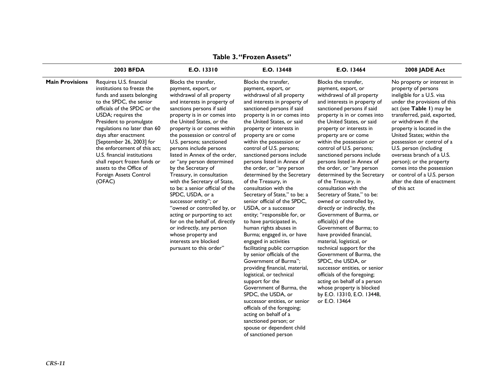|                        | <b>2003 BFDA</b>                                                                                                                                                                                                                                                                                                                                                                                                                                  | E.O. 13310                                                                                                                                                                                                                                                                                                                                                                                                                                                                                                                                                                                                                                                                                                                                                         | E.O. 13448                                                                                                                                                                                                                                                                                                                                                                                                                                                                                                                                                                                                                                                                                                                                                                                                                                                                                                                                                                                                                                                                    | E.O. 13464                                                                                                                                                                                                                                                                                                                                                                                                                                                                                                                                                                                                                                                                                                                                                                                                                                                                                                                                                                        | 2008 JADE Act                                                                                                                                                                                                                                                                                                                                                                                                                                                                             |
|------------------------|---------------------------------------------------------------------------------------------------------------------------------------------------------------------------------------------------------------------------------------------------------------------------------------------------------------------------------------------------------------------------------------------------------------------------------------------------|--------------------------------------------------------------------------------------------------------------------------------------------------------------------------------------------------------------------------------------------------------------------------------------------------------------------------------------------------------------------------------------------------------------------------------------------------------------------------------------------------------------------------------------------------------------------------------------------------------------------------------------------------------------------------------------------------------------------------------------------------------------------|-------------------------------------------------------------------------------------------------------------------------------------------------------------------------------------------------------------------------------------------------------------------------------------------------------------------------------------------------------------------------------------------------------------------------------------------------------------------------------------------------------------------------------------------------------------------------------------------------------------------------------------------------------------------------------------------------------------------------------------------------------------------------------------------------------------------------------------------------------------------------------------------------------------------------------------------------------------------------------------------------------------------------------------------------------------------------------|-----------------------------------------------------------------------------------------------------------------------------------------------------------------------------------------------------------------------------------------------------------------------------------------------------------------------------------------------------------------------------------------------------------------------------------------------------------------------------------------------------------------------------------------------------------------------------------------------------------------------------------------------------------------------------------------------------------------------------------------------------------------------------------------------------------------------------------------------------------------------------------------------------------------------------------------------------------------------------------|-------------------------------------------------------------------------------------------------------------------------------------------------------------------------------------------------------------------------------------------------------------------------------------------------------------------------------------------------------------------------------------------------------------------------------------------------------------------------------------------|
| <b>Main Provisions</b> | Requires U.S. financial<br>institutions to freeze the<br>funds and assets belonging<br>to the SPDC, the senior<br>officials of the SPDC or the<br>USDA; requires the<br>President to promulgate<br>regulations no later than 60<br>days after enactment<br>[September 26, 2003] for<br>the enforcement of this act:<br>U.S. financial institutions<br>shall report frozen funds or<br>assets to the Office of<br>Foreign Assets Control<br>(OFAC) | Blocks the transfer,<br>payment, export, or<br>withdrawal of all property<br>and interests in property of<br>sanctions persons if said<br>property is in or comes into<br>the United States, or the<br>property is or comes within<br>the possession or control of<br>U.S. persons; sanctioned<br>persons include persons<br>listed in Annex of the order,<br>or "any person determined<br>by the Secretary of<br>Treasury, in consultation<br>with the Secretary of State,<br>to be: a senior official of the<br>SPDC, USDA, or a<br>successor entity"; or<br>"owned or controlled by, or<br>acting or purporting to act<br>for on the behalf of, directly<br>or indirectly, any person<br>whose property and<br>interests are blocked<br>pursuant to this order" | Blocks the transfer,<br>payment, export, or<br>withdrawal of all property<br>and interests in property of<br>sanctioned persons if said<br>property is in or comes into<br>the United States, or said<br>property or interests in<br>property are or come<br>within the possession or<br>control of U.S. persons;<br>sanctioned persons include<br>persons listed in Annex of<br>the order, or "any person<br>determined by the Secretary<br>of the Treasury, in<br>consultation with the<br>Secretary of State," to be: a<br>senior official of the SPDC,<br>USDA, or a successor<br>entity; "responsible for, or<br>to have participated in,<br>human rights abuses in<br>Burma; engaged in, or have<br>engaged in activities<br>facilitating public corruption<br>by senior officials of the<br>Government of Burma":<br>providing financial, material,<br>logistical, or technical<br>support for the<br>Government of Burma, the<br>SPDC, the USDA, or<br>successor entities, or senior<br>officials of the foregoing;<br>acting on behalf of a<br>sanctioned person; or | Blocks the transfer,<br>payment, export, or<br>withdrawal of all property<br>and interests in property of<br>sanctioned persons if said<br>property is in or comes into<br>the United States, or said<br>property or interests in<br>property are or come<br>within the possession or<br>control of U.S. persons;<br>sanctioned persons include<br>persons listed in Annex of<br>the order, or "any person<br>determined by the Secretary<br>of the Treasury, in<br>consultation with the<br>Secretary of State," to be:<br>owned or controlled by,<br>directly or indirectly, the<br>Government of Burma, or<br>official(s) of the<br>Government of Burma; to<br>have provided financial,<br>material, logistical, or<br>technical support for the<br>Government of Burma, the<br>SPDC, the USDA, or<br>successor entities, or senior<br>officials of the foregoing;<br>acting on behalf of a person<br>whose property is blocked<br>by E.O. 13310, E.O. 13448,<br>or E.O. 13464 | No property or interest in<br>property of persons<br>ineligible for a U.S. visa<br>under the provisions of this<br>act (see Table I) may be<br>transferred, paid, exported,<br>or withdrawn if: the<br>property is located in the<br>United States; within the<br>possession or control of a<br>U.S. person (including<br>overseas branch of a U.S.<br>person); or the property<br>comes into the possession<br>or control of a U.S. person<br>after the date of enactment<br>of this act |

spouse or dependent child of sanctioned person

**Table 3. "Frozen Assets"**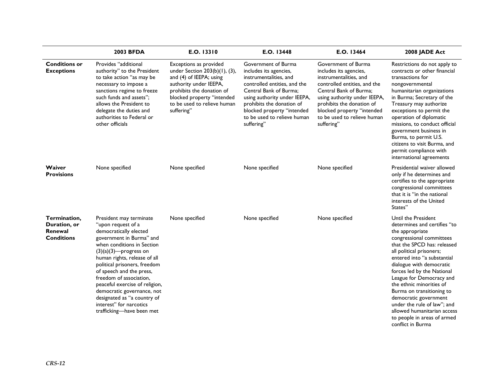|                                                              | 2003 BFDA                                                                                                                                                                                                                                                                                                                                                                                                                                    | E.O. 13310                                                                                                                                                                                                           | E.O. 13448                                                                                                                                                                                                                                                                | E.O. 13464                                                                                                                                                                                                                                                                | 2008 JADE Act                                                                                                                                                                                                                                                                                                                                                                                                                                                                          |
|--------------------------------------------------------------|----------------------------------------------------------------------------------------------------------------------------------------------------------------------------------------------------------------------------------------------------------------------------------------------------------------------------------------------------------------------------------------------------------------------------------------------|----------------------------------------------------------------------------------------------------------------------------------------------------------------------------------------------------------------------|---------------------------------------------------------------------------------------------------------------------------------------------------------------------------------------------------------------------------------------------------------------------------|---------------------------------------------------------------------------------------------------------------------------------------------------------------------------------------------------------------------------------------------------------------------------|----------------------------------------------------------------------------------------------------------------------------------------------------------------------------------------------------------------------------------------------------------------------------------------------------------------------------------------------------------------------------------------------------------------------------------------------------------------------------------------|
| <b>Conditions or</b><br><b>Exceptions</b>                    | Provides "additional<br>authority" to the President<br>to take action "as may be<br>necessary to impose a<br>sanctions regime to freeze<br>such funds and assets":<br>allows the President to<br>delegate the duties and<br>authorities to Federal or<br>other officials                                                                                                                                                                     | Exceptions as provided<br>under Section 203(b)(1), (3),<br>and (4) of IEEPA; using<br>authority under IEEPA,<br>prohibits the donation of<br>blocked property "intended<br>to be used to relieve human<br>suffering" | Government of Burma<br>includes its agencies,<br>instrumentalities, and<br>controlled entities, and the<br>Central Bank of Burma:<br>using authority under IEEPA,<br>prohibits the donation of<br>blocked property "intended<br>to be used to relieve human<br>suffering" | Government of Burma<br>includes its agencies,<br>instrumentalities, and<br>controlled entities, and the<br>Central Bank of Burma;<br>using authority under IEEPA,<br>prohibits the donation of<br>blocked property "intended<br>to be used to relieve human<br>suffering" | Restrictions do not apply to<br>contracts or other financial<br>transactions for<br>nongovernmental<br>humanitarian organizations<br>in Burma; Secretary of the<br>Treasury may authorize<br>exceptions to permit the<br>operation of diplomatic<br>missions, to conduct official<br>government business in<br>Burma, to permit U.S.<br>citizens to visit Burma, and<br>permit compliance with<br>international agreements                                                             |
| Waiver<br><b>Provisions</b>                                  | None specified                                                                                                                                                                                                                                                                                                                                                                                                                               | None specified                                                                                                                                                                                                       | None specified                                                                                                                                                                                                                                                            | None specified                                                                                                                                                                                                                                                            | Presidential waiver allowed<br>only if he determines and<br>certifies to the appropriate<br>congressional committees<br>that it is "in the national<br>interests of the United<br>States"                                                                                                                                                                                                                                                                                              |
| Termination,<br>Duration, or<br>Renewal<br><b>Conditions</b> | President may terminate<br>"upon request of a<br>democratically elected<br>government in Burma" and<br>when conditions in Section<br>$(3)(a)(3)$ --progress on<br>human rights, release of all<br>political prisoners, freedom<br>of speech and the press,<br>freedom of association,<br>peaceful exercise of religion,<br>democratic governance, not<br>designated as "a country of<br>interest" for narcotics<br>trafficking-have been met | None specified                                                                                                                                                                                                       | None specified                                                                                                                                                                                                                                                            | None specified                                                                                                                                                                                                                                                            | Until the President<br>determines and certifies "to<br>the appropriate<br>congressional committees<br>that the SPCD has: released<br>all political prisoners;<br>entered into "a substantial<br>dialogue with democratic<br>forces led by the National<br>League for Democracy and<br>the ethnic minorities of<br>Burma on transitioning to<br>democratic government<br>under the rule of law": and<br>allowed humanitarian access<br>to people in areas of armed<br>conflict in Burma |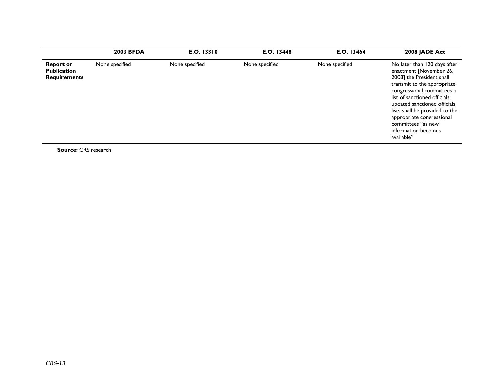|                                                               | <b>2003 BFDA</b> | E.O. 13310     | E.O. 13448     | E.O. 13464     | 2008 JADE Act                                                                                                                                                                                                                                                                                                                                |
|---------------------------------------------------------------|------------------|----------------|----------------|----------------|----------------------------------------------------------------------------------------------------------------------------------------------------------------------------------------------------------------------------------------------------------------------------------------------------------------------------------------------|
| <b>Report or</b><br><b>Publication</b><br><b>Requirements</b> | None specified   | None specified | None specified | None specified | No later than 120 days after<br>enactment [November 26,<br>2008] the President shall<br>transmit to the appropriate<br>congressional committees a<br>list of sanctioned officials;<br>updated sanctioned officials<br>lists shall be provided to the<br>appropriate congressional<br>committees "as new<br>information becomes<br>available" |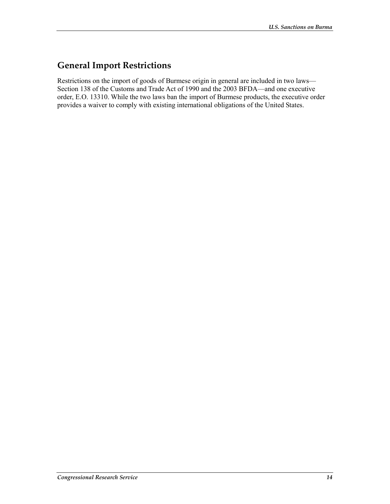### **General Import Restrictions**

Restrictions on the import of goods of Burmese origin in general are included in two laws— Section 138 of the Customs and Trade Act of 1990 and the 2003 BFDA—and one executive order, E.O. 13310. While the two laws ban the import of Burmese products, the executive order provides a waiver to comply with existing international obligations of the United States.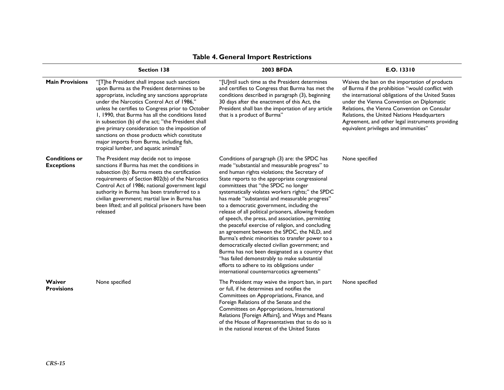|                                           | <b>Section 138</b>                                                                                                                                                                                                                                                                                                                                                                                                                                                                                                                                    | <b>2003 BFDA</b>                                                                                                                                                                                                                                                                                                                                                                                                                                                                                                                                                                                                                                                                                                                                                                                                                                                                                                    | E.O. 13310                                                                                                                                                                                                                                                                                                                                                                                      |
|-------------------------------------------|-------------------------------------------------------------------------------------------------------------------------------------------------------------------------------------------------------------------------------------------------------------------------------------------------------------------------------------------------------------------------------------------------------------------------------------------------------------------------------------------------------------------------------------------------------|---------------------------------------------------------------------------------------------------------------------------------------------------------------------------------------------------------------------------------------------------------------------------------------------------------------------------------------------------------------------------------------------------------------------------------------------------------------------------------------------------------------------------------------------------------------------------------------------------------------------------------------------------------------------------------------------------------------------------------------------------------------------------------------------------------------------------------------------------------------------------------------------------------------------|-------------------------------------------------------------------------------------------------------------------------------------------------------------------------------------------------------------------------------------------------------------------------------------------------------------------------------------------------------------------------------------------------|
| <b>Main Provisions</b>                    | "[T]he President shall impose such sanctions<br>upon Burma as the President determines to be<br>appropriate, including any sanctions appropriate<br>under the Narcotics Control Act of 1986,"<br>unless he certifies to Congress prior to October<br>1, 1990, that Burma has all the conditions listed<br>in subsection (b) of the act; "the President shall<br>give primary consideration to the imposition of<br>sanctions on those products which constitute<br>major imports from Burma, including fish,<br>tropical lumber, and aquatic animals" | "[U]ntil such time as the President determines<br>and certifies to Congress that Burma has met the<br>conditions described in paragraph (3), beginning<br>30 days after the enactment of this Act, the<br>President shall ban the importation of any article<br>that is a product of Burma"                                                                                                                                                                                                                                                                                                                                                                                                                                                                                                                                                                                                                         | Waives the ban on the importation of products<br>of Burma if the prohibition "would conflict with<br>the international obligations of the United States<br>under the Vienna Convention on Diplomatic<br>Relations, the Vienna Convention on Consular<br>Relations, the United Nations Headquarters<br>Agreement, and other legal instruments providing<br>equivalent privileges and immunities" |
| <b>Conditions or</b><br><b>Exceptions</b> | The President may decide not to impose<br>sanctions if Burma has met the conditions in<br>subsection (b): Burma meets the certification<br>requirements of Section 802(b) of the Narcotics<br>Control Act of 1986; national government legal<br>authority in Burma has been transferred to a<br>civilian government; martial law in Burma has<br>been lifted; and all political prisoners have been<br>released                                                                                                                                       | Conditions of paragraph (3) are: the SPDC has<br>made "substantial and measurable progress" to<br>end human rights violations; the Secretary of<br>State reports to the appropriate congressional<br>committees that "the SPDC no longer<br>systematically violates workers rights;" the SPDC<br>has made "substantial and measurable progress"<br>to a democratic government, including the<br>release of all political prisoners, allowing freedom<br>of speech, the press, and association, permitting<br>the peaceful exercise of religion, and concluding<br>an agreement between the SPDC, the NLD, and<br>Burma's ethnic minorities to transfer power to a<br>democratically elected civilian government; and<br>Burma has not been designated as a country that<br>"has failed demonstrably to make substantial<br>efforts to adhere to its obligations under<br>international counternarcotics agreements" | None specified                                                                                                                                                                                                                                                                                                                                                                                  |
| Waiver<br><b>Provisions</b>               | None specified                                                                                                                                                                                                                                                                                                                                                                                                                                                                                                                                        | The President may waive the import ban, in part<br>or full, if he determines and notifies the<br>Committees on Appropriations, Finance, and<br>Foreign Relations of the Senate and the<br>Committees on Appropriations, International<br>Relations [Foreign Affairs], and Ways and Means<br>of the House of Representatives that to do so is<br>in the national interest of the United States                                                                                                                                                                                                                                                                                                                                                                                                                                                                                                                       | None specified                                                                                                                                                                                                                                                                                                                                                                                  |

#### **Table 4. General Import Restrictions**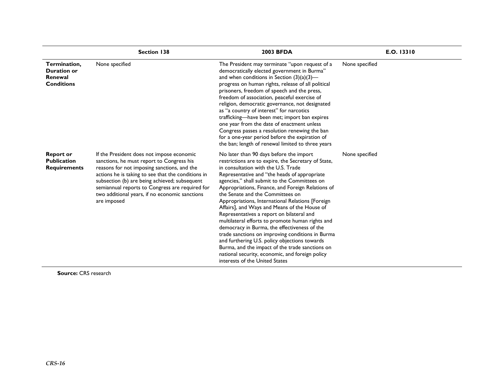|                                                                    | <b>Section 138</b>                                                                                                                                                                                                                                                                                                                                               | <b>2003 BFDA</b>                                                                                                                                                                                                                                                                                                                                                                                                                                                                                                                                                                                                                                                                                                                                                                                                                 | E.O. 13310     |
|--------------------------------------------------------------------|------------------------------------------------------------------------------------------------------------------------------------------------------------------------------------------------------------------------------------------------------------------------------------------------------------------------------------------------------------------|----------------------------------------------------------------------------------------------------------------------------------------------------------------------------------------------------------------------------------------------------------------------------------------------------------------------------------------------------------------------------------------------------------------------------------------------------------------------------------------------------------------------------------------------------------------------------------------------------------------------------------------------------------------------------------------------------------------------------------------------------------------------------------------------------------------------------------|----------------|
| Termination,<br><b>Duration or</b><br>Renewal<br><b>Conditions</b> | None specified                                                                                                                                                                                                                                                                                                                                                   | The President may terminate "upon request of a<br>democratically elected government in Burma"<br>and when conditions in Section $(3)(a)(3)$ —<br>progress on human rights, release of all political<br>prisoners, freedom of speech and the press,<br>freedom of association, peaceful exercise of<br>religion, democratic governance, not designated<br>as "a country of interest" for narcotics<br>trafficking-have been met; import ban expires<br>one year from the date of enactment unless<br>Congress passes a resolution renewing the ban<br>for a one-year period before the expiration of<br>the ban; length of renewal limited to three years                                                                                                                                                                         | None specified |
| <b>Report or</b><br><b>Publication</b><br><b>Requirements</b>      | If the President does not impose economic<br>sanctions, he must report to Congress his<br>reasons for not imposing sanctions, and the<br>actions he is taking to see that the conditions in<br>subsection (b) are being achieved; subsequent<br>semiannual reports to Congress are required for<br>two additional years, if no economic sanctions<br>are imposed | No later than 90 days before the import<br>restrictions are to expire, the Secretary of State,<br>in consultation with the U.S. Trade<br>Representative and "the heads of appropriate<br>agencies," shall submit to the Committees on<br>Appropriations, Finance, and Foreign Relations of<br>the Senate and the Committees on<br>Appropriations, International Relations [Foreign<br>Affairs], and Ways and Means of the House of<br>Representatives a report on bilateral and<br>multilateral efforts to promote human rights and<br>democracy in Burma, the effectiveness of the<br>trade sanctions on improving conditions in Burma<br>and furthering U.S. policy objections towards<br>Burma, and the impact of the trade sanctions on<br>national security, economic, and foreign policy<br>interests of the United States | None specified |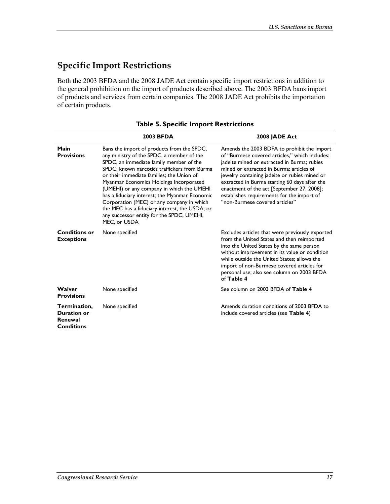### **Specific Import Restrictions**

Both the 2003 BFDA and the 2008 JADE Act contain specific import restrictions in addition to the general prohibition on the import of products described above. The 2003 BFDA bans import of products and services from certain companies. The 2008 JADE Act prohibits the importation of certain products.

|                                                                    | <b>2003 BFDA</b>                                                                                                                                                                                                                                                                                                                                                                                                                                                                                                                      | 2008 JADE Act                                                                                                                                                                                                                                                                                                                                                                                                            |
|--------------------------------------------------------------------|---------------------------------------------------------------------------------------------------------------------------------------------------------------------------------------------------------------------------------------------------------------------------------------------------------------------------------------------------------------------------------------------------------------------------------------------------------------------------------------------------------------------------------------|--------------------------------------------------------------------------------------------------------------------------------------------------------------------------------------------------------------------------------------------------------------------------------------------------------------------------------------------------------------------------------------------------------------------------|
| Main<br><b>Provisions</b>                                          | Bans the import of products from the SPDC,<br>any ministry of the SPDC, a member of the<br>SPDC, an immediate family member of the<br>SPDC; known narcotics traffickers from Burma<br>or their immediate families; the Union of<br>Myanmar Economics Holdings Incorporated<br>(UMEHI) or any company in which the UMEHI<br>has a fiduciary interest; the Myanmar Economic<br>Corporation (MEC) or any company in which<br>the MEC has a fiduciary interest, the USDA; or<br>any successor entity for the SPDC, UMEHI,<br>MEC, or USDA | Amends the 2003 BDFA to prohibit the import<br>of "Burmese covered articles." which includes:<br>jadeite mined or extracted in Burma; rubies<br>mined or extracted in Burma: articles of<br>jewelry containing jadeite or rubies mined or<br>extracted in Burma starting 60 days after the<br>enactment of the act [September 27, 2008];<br>establishes requirements for the import of<br>"non-Burmese covered articles" |
| <b>Conditions or</b><br><b>Exceptions</b>                          | None specified                                                                                                                                                                                                                                                                                                                                                                                                                                                                                                                        | Excludes articles that were previously exported<br>from the United States and then reimported<br>into the United States by the same person<br>without improvement in its value or condition<br>while outside the United States; allows the<br>import of non-Burmese covered articles for<br>personal use; also see column on 2003 BFDA<br>of Table 4                                                                     |
| Waiver<br><b>Provisions</b>                                        | None specified                                                                                                                                                                                                                                                                                                                                                                                                                                                                                                                        | See column on 2003 BFDA of Table 4                                                                                                                                                                                                                                                                                                                                                                                       |
| Termination,<br><b>Duration or</b><br>Renewal<br><b>Conditions</b> | None specified                                                                                                                                                                                                                                                                                                                                                                                                                                                                                                                        | Amends duration conditions of 2003 BFDA to<br>include covered articles (see <b>Table 4)</b>                                                                                                                                                                                                                                                                                                                              |

#### **Table 5. Specific Import Restrictions**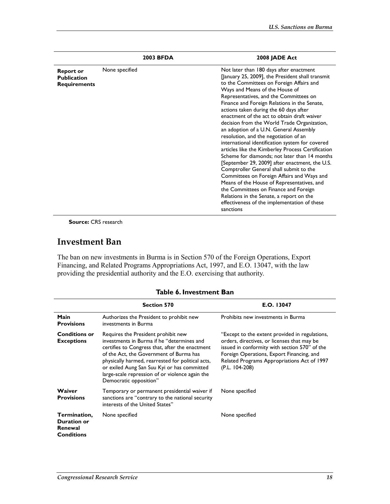|                                                               | 2003 BFDA      | 2008 JADE Act                                                                                                                                                                                                                                                                                                                                                                                                                                                                                                                                                                                                                                                                                                                                                                                                                                                                                                                                                                                      |
|---------------------------------------------------------------|----------------|----------------------------------------------------------------------------------------------------------------------------------------------------------------------------------------------------------------------------------------------------------------------------------------------------------------------------------------------------------------------------------------------------------------------------------------------------------------------------------------------------------------------------------------------------------------------------------------------------------------------------------------------------------------------------------------------------------------------------------------------------------------------------------------------------------------------------------------------------------------------------------------------------------------------------------------------------------------------------------------------------|
| <b>Report or</b><br><b>Publication</b><br><b>Requirements</b> | None specified | Not later than 180 days after enactment<br>[January 25, 2009], the President shall transmit<br>to the Committees on Foreign Affairs and<br>Ways and Means of the House of<br>Representatives, and the Committees on<br>Finance and Foreign Relations in the Senate,<br>actions taken during the 60 days after<br>enactment of the act to obtain draft waiver<br>decision from the World Trade Organization,<br>an adoption of a U.N. General Assembly<br>resolution, and the negotiation of an<br>international identification system for covered<br>articles like the Kimberley Process Certification<br>Scheme for diamonds: not later than 14 months<br>[September 29, 2009] after enactment, the U.S.<br>Comptroller General shall submit to the<br>Committees on Foreign Affairs and Ways and<br>Means of the House of Representatives, and<br>the Committees on Finance and Foreign<br>Relations in the Senate, a report on the<br>effectiveness of the implementation of these<br>sanctions |

#### **Investment Ban**

The ban on new investments in Burma is in Section 570 of the Foreign Operations, Export Financing, and Related Programs Appropriations Act, 1997, and E.O. 13047, with the law providing the presidential authority and the E.O. exercising that authority.

|  | Table 6. Investment Ban |
|--|-------------------------|
|--|-------------------------|

|                                                                    | <b>Section 570</b>                                                                                                                                                                                                                                                                                                                                               | E.O. 13047                                                                                                                                                                                                                                                   |
|--------------------------------------------------------------------|------------------------------------------------------------------------------------------------------------------------------------------------------------------------------------------------------------------------------------------------------------------------------------------------------------------------------------------------------------------|--------------------------------------------------------------------------------------------------------------------------------------------------------------------------------------------------------------------------------------------------------------|
| Main<br><b>Provisions</b>                                          | Authorizes the President to prohibit new<br>investments in Burma                                                                                                                                                                                                                                                                                                 | Prohibits new investments in Burma                                                                                                                                                                                                                           |
| <b>Conditions or</b><br><b>Exceptions</b>                          | Requires the President prohibit new<br>investments in Burma if he "determines and<br>certifies to Congress that, after the enactment<br>of the Act, the Government of Burma has<br>physically harmed, rearrested for political acts,<br>or exiled Aung San Suu Kyi or has committed<br>large-scale repression of or violence again the<br>Democratic opposition" | "Except to the extent provided in regulations,<br>orders, directives, or licenses that may be<br>issued in conformity with section 570" of the<br>Foreign Operations, Export Financing, and<br>Related Programs Appropriations Act of 1997<br>(P.L. 104-208) |
| Waiver<br><b>Provisions</b>                                        | Temporary or permanent presidential waiver if<br>sanctions are "contrary to the national security<br>interests of the United States"                                                                                                                                                                                                                             | None specified                                                                                                                                                                                                                                               |
| Termination,<br><b>Duration or</b><br>Renewal<br><b>Conditions</b> | None specified                                                                                                                                                                                                                                                                                                                                                   | None specified                                                                                                                                                                                                                                               |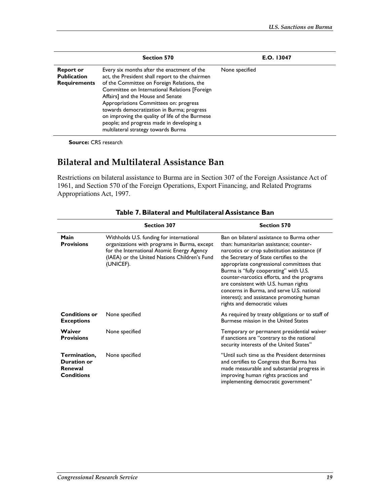|                                                               | <b>Section 570</b>                                                                                                                                                                                                                                                                                                                                                                                                                                                | E.O. 13047     |
|---------------------------------------------------------------|-------------------------------------------------------------------------------------------------------------------------------------------------------------------------------------------------------------------------------------------------------------------------------------------------------------------------------------------------------------------------------------------------------------------------------------------------------------------|----------------|
| <b>Report or</b><br><b>Publication</b><br><b>Requirements</b> | Every six months after the enactment of the<br>act, the President shall report to the chairmen<br>of the Committee on Foreign Relations, the<br>Committee on International Relations [Foreign<br>Affairs] and the House and Senate<br>Appropriations Committees on: progress<br>towards democratization in Burma; progress<br>on improving the quality of life of the Burmese<br>people; and progress made in developing a<br>multilateral strategy towards Burma | None specified |

#### **Bilateral and Multilateral Assistance Ban**

Restrictions on bilateral assistance to Burma are in Section 307 of the Foreign Assistance Act of 1961, and Section 570 of the Foreign Operations, Export Financing, and Related Programs Appropriations Act, 1997.

|                                                                    | <b>Section 307</b>                                                                                                                                                                                  | <b>Section 570</b>                                                                                                                                                                                                                                                                                                                                                                                                                                                                          |
|--------------------------------------------------------------------|-----------------------------------------------------------------------------------------------------------------------------------------------------------------------------------------------------|---------------------------------------------------------------------------------------------------------------------------------------------------------------------------------------------------------------------------------------------------------------------------------------------------------------------------------------------------------------------------------------------------------------------------------------------------------------------------------------------|
| Main<br><b>Provisions</b>                                          | Withholds U.S. funding for international<br>organizations with programs in Burma, except<br>for the International Atomic Energy Agency<br>(IAEA) or the United Nations Children's Fund<br>(UNICEF). | Ban on bilateral assistance to Burma other<br>than: humanitarian assistance; counter-<br>narcotics or crop substitution assistance (if<br>the Secretary of State certifies to the<br>appropriate congressional committees that<br>Burma is "fully cooperating" with U.S.<br>counter-narcotics efforts, and the programs<br>are consistent with U.S. human rights<br>concerns in Burma, and serve U.S. national<br>interest); and assistance promoting human<br>rights and democratic values |
| <b>Conditions or</b><br><b>Exceptions</b>                          | None specified                                                                                                                                                                                      | As required by treaty obligations or to staff of<br>Burmese mission in the United States                                                                                                                                                                                                                                                                                                                                                                                                    |
| Waiver<br><b>Provisions</b>                                        | None specified                                                                                                                                                                                      | Temporary or permanent presidential waiver<br>if sanctions are "contrary to the national<br>security interests of the United States"                                                                                                                                                                                                                                                                                                                                                        |
| Termination,<br><b>Duration or</b><br>Renewal<br><b>Conditions</b> | None specified                                                                                                                                                                                      | "Until such time as the President determines<br>and certifies to Congress that Burma has<br>made measurable and substantial progress in<br>improving human rights practices and<br>implementing democratic government"                                                                                                                                                                                                                                                                      |

#### **Table 7. Bilateral and Multilateral Assistance Ban**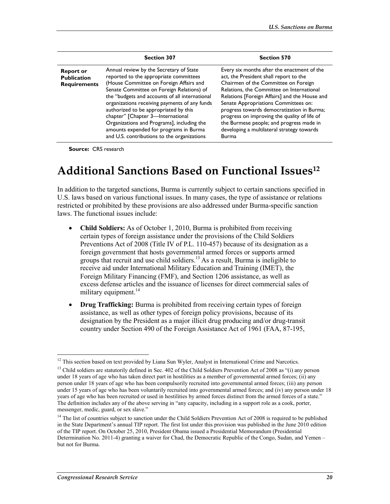|                                                               | <b>Section 307</b>                                                                                                                                                                                                                                                                                                                                                                                                                                                                                | <b>Section 570</b>                                                                                                                                                                                                                                                                                                                                                                                                                                                          |
|---------------------------------------------------------------|---------------------------------------------------------------------------------------------------------------------------------------------------------------------------------------------------------------------------------------------------------------------------------------------------------------------------------------------------------------------------------------------------------------------------------------------------------------------------------------------------|-----------------------------------------------------------------------------------------------------------------------------------------------------------------------------------------------------------------------------------------------------------------------------------------------------------------------------------------------------------------------------------------------------------------------------------------------------------------------------|
| <b>Report or</b><br><b>Publication</b><br><b>Requirements</b> | Annual review by the Secretary of State<br>reported to the appropriate committees<br>(House Committee on Foreign Affairs and<br>Senate Committee on Foreign Relations) of<br>the "budgets and accounts of all international<br>organizations receiving payments of any funds<br>authorized to be appropriated by this<br>chapter" [Chapter 3-International<br>Organizations and Programs], including the<br>amounts expended for programs in Burma<br>and U.S. contributions to the organizations | Every six months after the enactment of the<br>act, the President shall report to the<br>Chairmen of the Committee on Foreign<br>Relations, the Committee on International<br>Relations [Foreign Affairs] and the House and<br>Senate Appropriations Committees on:<br>progress towards democratization in Burma;<br>progress on improving the quality of life of<br>the Burmese people; and progress made in<br>developing a multilateral strategy towards<br><b>Burma</b> |

### **Additional Sanctions Based on Functional Issues12**

In addition to the targeted sanctions, Burma is currently subject to certain sanctions specified in U.S. laws based on various functional issues. In many cases, the type of assistance or relations restricted or prohibited by these provisions are also addressed under Burma-specific sanction laws. The functional issues include:

- **Child Soldiers:** As of October 1, 2010, Burma is prohibited from receiving certain types of foreign assistance under the provisions of the Child Soldiers Preventions Act of 2008 (Title IV of P.L. 110-457) because of its designation as a foreign government that hosts governmental armed forces or supports armed groups that recruit and use child soldiers.<sup>13</sup> As a result. Burma is ineligible to receive aid under International Military Education and Training (IMET), the Foreign Military Financing (FMF), and Section 1206 assistance, as well as excess defense articles and the issuance of licenses for direct commercial sales of military equipment. $14$
- **Drug Trafficking:** Burma is prohibited from receiving certain types of foreign assistance, as well as other types of foreign policy provisions, because of its designation by the President as a major illicit drug producing and/or drug-transit country under Section 490 of the Foreign Assistance Act of 1961 (FAA, 87-195,

<u>.</u>

 $12$  This section based on text provided by Liana Sun Wyler, Analyst in International Crime and Narcotics.

<sup>&</sup>lt;sup>13</sup> Child soldiers are statutorily defined in Sec. 402 of the Child Soldiers Prevention Act of 2008 as "(i) any person under 18 years of age who has taken direct part in hostilities as a member of governmental armed forces; (ii) any person under 18 years of age who has been compulsorily recruited into governmental armed forces; (iii) any person under 15 years of age who has been voluntarily recruited into governmental armed forces; and (iv) any person under 18 years of age who has been recruited or used in hostilities by armed forces distinct from the armed forces of a state." The definition includes any of the above serving in "any capacity, including in a support role as a cook, porter, messenger, medic, guard, or sex slave."

 $<sup>14</sup>$  The list of countries subject to sanction under the Child Soldiers Prevention Act of 2008 is required to be published</sup> in the State Department's annual TIP report. The first list under this provision was published in the June 2010 edition of the TIP report. On October 25, 2010, President Obama issued a Presidential Memorandum (Presidential Determination No. 2011-4) granting a waiver for Chad, the Democratic Republic of the Congo, Sudan, and Yemen – but not for Burma.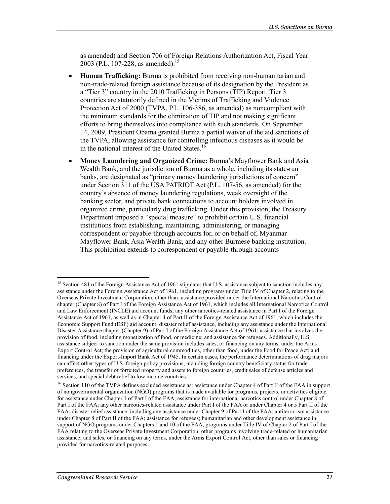as amended) and Section 706 of Foreign Relations Authorization Act, Fiscal Year 2003 (P.L. 107-228, as amended).<sup>15</sup>

- **Human Trafficking:** Burma is prohibited from receiving non-humanitarian and non-trade-related foreign assistance because of its designation by the President as a "Tier 3" country in the 2010 Trafficking in Persons (TIP) Report. Tier 3 countries are statutorily defined in the Victims of Trafficking and Violence Protection Act of 2000 (TVPA, P.L. 106-386, as amended) as noncompliant with the minimum standards for the elimination of TIP and not making significant efforts to bring themselves into compliance with such standards. On September 14, 2009, President Obama granted Burma a partial waiver of the aid sanctions of the TVPA, allowing assistance for controlling infectious diseases as it would be in the national interest of the United States.<sup>16</sup>
- **Money Laundering and Organized Crime:** Burma's Mayflower Bank and Asia Wealth Bank, and the jurisdiction of Burma as a whole, including its state-run banks, are designated as "primary money laundering jurisdictions of concern" under Section 311 of the USA PATRIOT Act (P.L. 107-56, as amended) for the country's absence of money laundering regulations, weak oversight of the banking sector, and private bank connections to account holders involved in organized crime, particularly drug trafficking. Under this provision, the Treasury Department imposed a "special measure" to prohibit certain U.S. financial institutions from establishing, maintaining, administering, or managing correspondent or payable-through accounts for, or on behalf of, Myanmar Mayflower Bank, Asia Wealth Bank, and any other Burmese banking institution. This prohibition extends to correspondent or payable-through accounts

<sup>&</sup>lt;sup>15</sup> Section 481 of the Foreign Assistance Act of 1961 stipulates that U.S. assistance subject to sanction includes any assistance under the Foreign Assistance Act of 1961, including programs under Title IV of Chapter 2, relating to the Overseas Private Investment Corporation, other than: assistance provided under the International Narcotics Control chapter (Chapter 8) of Part I of the Foreign Assistance Act of 1961, which includes all International Narcotics Control and Law Enforcement (INCLE) aid account funds; any other narcotics-related assistance in Part I of the Foreign Assistance Act of 1961, as well as in Chapter 4 of Part II of the Foreign Assistance Act of 1961, which includes the Economic Support Fund (ESF) aid account; disaster relief assistance, including any assistance under the International Disaster Assistance chapter (Chapter 9) of Part I of the Foreign Assistance Act of 1961; assistance that involves the provision of food, including monetization of food, or medicine; and assistance for refugees. Additionally, U.S. assistance subject to sanction under the same provision includes sales, or financing on any terms, under the Arms Export Control Act; the provision of agricultural commodities, other than food, under the Food for Peace Act; and financing under the Export-Import Bank Act of 1945. In certain cases, the performance determinations of drug majors can affect other types of U.S. foreign policy provisions, including foreign country beneficiary status for trade preferences, the transfer of forfeited property and assets to foreign countries, credit sales of defense articles and services, and special debt relief to low income countries.

<sup>&</sup>lt;sup>16</sup> Section 110 of the TVPA defines excluded assistance as: assistance under Chapter 4 of Part II of the FAA in support of nongovernmental organization (NGO) programs that is made available for programs, projects, or activities eligible for assistance under Chapter 1 of Part I of the FAA; assistance for international narcotics control under Chapter 8 of Part I of the FAA; any other narcotics-related assistance under Part I of the FAA or under Chapter 4 or 5 Part II of the FAA; disaster relief assistance, including any assistance under Chapter 9 of Part I of the FAA; antiterrorism assistance under Chapter 8 of Part II of the FAA; assistance for refugees; humanitarian and other development assistance in support of NGO programs under Chapters 1 and 10 of the FAA; programs under Title IV of Chapter 2 of Part I of the FAA relating to the Overseas Private Investment Corporation; other programs involving trade-related or humanitarian assistance; and sales, or financing on any terms, under the Arms Export Control Act, other than sales or financing provided for narcotics-related purposes.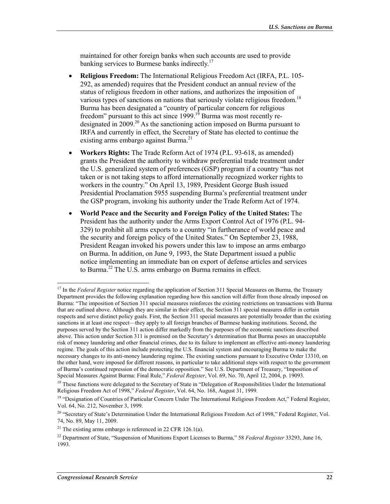maintained for other foreign banks when such accounts are used to provide banking services to Burmese banks indirectly.<sup>17</sup>

- **Religious Freedom:** The International Religious Freedom Act (IRFA, P.L. 105- 292, as amended) requires that the President conduct an annual review of the status of religious freedom in other nations, and authorizes the imposition of various types of sanctions on nations that seriously violate religious freedom.<sup>18</sup> Burma has been designated a "country of particular concern for religious freedom" pursuant to this act since  $1999$ .<sup>19</sup> Burma was most recently redesignated in 2009<sup>20</sup> As the sanctioning action imposed on Burma pursuant to IRFA and currently in effect, the Secretary of State has elected to continue the existing arms embargo against Burma.<sup>21</sup>
- **Workers Rights:** The Trade Reform Act of 1974 (P.L. 93-618, as amended) grants the President the authority to withdraw preferential trade treatment under the U.S. generalized system of preferences (GSP) program if a country "has not taken or is not taking steps to afford internationally recognized worker rights to workers in the country." On April 13, 1989, President George Bush issued Presidential Proclamation 5955 suspending Burma's preferential treatment under the GSP program, invoking his authority under the Trade Reform Act of 1974.
- **World Peace and the Security and Foreign Policy of the United States:** The President has the authority under the Arms Export Control Act of 1976 (P.L. 94- 329) to prohibit all arms exports to a country "in furtherance of world peace and the security and foreign policy of the United States." On September 23, 1988, President Reagan invoked his powers under this law to impose an arms embargo on Burma. In addition, on June 9, 1993, the State Department issued a public notice implementing an immediate ban on export of defense articles and services to Burma.22 The U.S. arms embargo on Burma remains in effect.

<sup>&</sup>lt;sup>17</sup> In the *Federal Register* notice regarding the application of Section 311 Special Measures on Burma, the Treasury Department provides the following explanation regarding how this sanction will differ from those already imposed on Burma: "The imposition of Section 311 special measures reinforces the existing restrictions on transactions with Burma that are outlined above. Although they are similar in their effect, the Section 311 special measures differ in certain respects and serve distinct policy goals. First, the Section 311 special measures are potentially broader than the existing sanctions in at least one respect—they apply to all foreign branches of Burmese banking institutions. Second, the purposes served by the Section 311 action differ markedly from the purposes of the economic sanctions described above. This action under Section 311 is premised on the Secretary's determination that Burma poses an unacceptable risk of money laundering and other financial crimes, due to its failure to implement an effective anti-money laundering regime. The goals of this action include protecting the U.S. financial system and encouraging Burma to make the necessary changes to its anti-money laundering regime. The existing sanctions pursuant to Executive Order 13310, on the other hand, were imposed for different reasons, in particular to take additional steps with respect to the government of Burma's continued repression of the democratic opposition." See U.S. Department of Treasury, "Imposition of Special Measures Against Burma: Final Rule," *Federal Register*, Vol. 69, No. 70, April 12, 2004, p. 19093.

<sup>&</sup>lt;sup>18</sup> These functions were delegated to the Secretary of State in "Delegation of Responsibilities Under the International Religious Freedom Act of 1998," *Federal Register*, Vol. 64, No. 168, August 31, 1999.

<sup>&</sup>lt;sup>19</sup> "Designation of Countries of Particular Concern Under The International Religious Freedom Act," Federal Register, Vol. 64, No. 212, November 3, 1999.

<sup>&</sup>lt;sup>20</sup> "Secretary of State's Determination Under the International Religious Freedom Act of 1998," Federal Register, Vol. 74, No. 89, May 11, 2009.

<sup>&</sup>lt;sup>21</sup> The existing arms embargo is referenced in 22 CFR 126.1(a).

<sup>22</sup> Department of State, "Suspension of Munitions Export Licenses to Burma," 58 *Federal Register* 33293, June 16, 1993.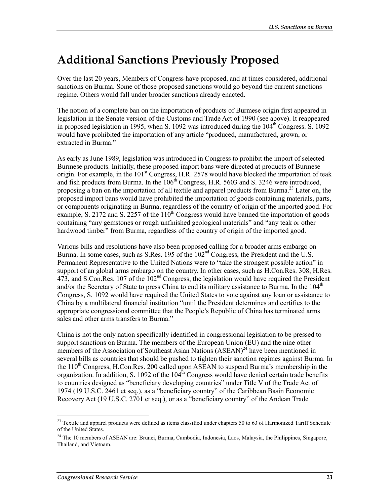## **Additional Sanctions Previously Proposed**

Over the last 20 years, Members of Congress have proposed, and at times considered, additional sanctions on Burma. Some of those proposed sanctions would go beyond the current sanctions regime. Others would fall under broader sanctions already enacted.

The notion of a complete ban on the importation of products of Burmese origin first appeared in legislation in the Senate version of the Customs and Trade Act of 1990 (see above). It reappeared in proposed legislation in 1995, when S. 1092 was introduced during the 104<sup>th</sup> Congress. S. 1092 would have prohibited the importation of any article "produced, manufactured, grown, or extracted in Burma."

As early as June 1989, legislation was introduced in Congress to prohibit the import of selected Burmese products. Initially, these proposed import bans were directed at products of Burmese origin. For example, in the 101<sup>st</sup> Congress, H.R. 2578 would have blocked the importation of teak and fish products from Burma. In the  $106<sup>th</sup>$  Congress, H.R. 5603 and S. 3246 were introduced, proposing a ban on the importation of all textile and apparel products from Burma.<sup>23</sup> Later on, the proposed import bans would have prohibited the importation of goods containing materials, parts, or components originating in Burma, regardless of the country of origin of the imported good. For example, S. 2172 and S. 2257 of the  $110^{th}$  Congress would have banned the importation of goods containing "any gemstones or rough unfinished geological materials" and "any teak or other hardwood timber" from Burma, regardless of the country of origin of the imported good.

Various bills and resolutions have also been proposed calling for a broader arms embargo on Burma. In some cases, such as S.Res. 195 of the  $102<sup>nd</sup>$  Congress, the President and the U.S. Permanent Representative to the United Nations were to "take the strongest possible action" in support of an global arms embargo on the country. In other cases, such as H.Con.Res. 308, H.Res. 473, and S.Con.Res. 107 of the 102nd Congress, the legislation would have required the President and/or the Secretary of State to press China to end its military assistance to Burma. In the  $104<sup>th</sup>$ Congress, S. 1092 would have required the United States to vote against any loan or assistance to China by a multilateral financial institution "until the President determines and certifies to the appropriate congressional committee that the People's Republic of China has terminated arms sales and other arms transfers to Burma."

China is not the only nation specifically identified in congressional legislation to be pressed to support sanctions on Burma. The members of the European Union (EU) and the nine other members of the Association of Southeast Asian Nations  $(ASEAN)^{24}$  have been mentioned in several bills as countries that should be pushed to tighten their sanction regimes against Burma. In the  $110<sup>th</sup>$  Congress, H.Con.Res. 200 called upon ASEAN to suspend Burma's membership in the organization. In addition, S. 1092 of the  $104<sup>th</sup>$  Congress would have denied certain trade benefits to countries designed as "beneficiary developing countries" under Title V of the Trade Act of 1974 (19 U.S.C. 2461 et seq.), as a "beneficiary country" of the Caribbean Basin Economic Recovery Act (19 U.S.C. 2701 et seq.), or as a "beneficiary country" of the Andean Trade

<sup>1</sup>  $^{23}$  Textile and apparel products were defined as items classified under chapters 50 to 63 of Harmonized Tariff Schedule of the United States.

<sup>&</sup>lt;sup>24</sup> The 10 members of ASEAN are: Brunei, Burma, Cambodia, Indonesia, Laos, Malaysia, the Philippines, Singapore, Thailand, and Vietnam.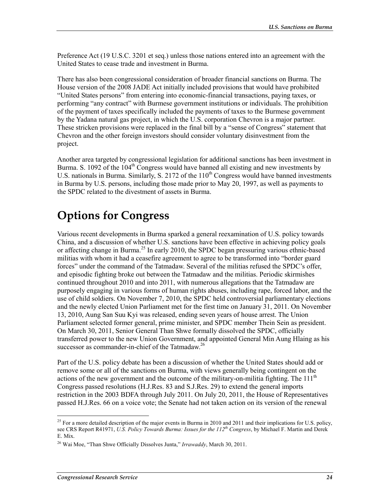Preference Act (19 U.S.C. 3201 et seq.) unless those nations entered into an agreement with the United States to cease trade and investment in Burma.

There has also been congressional consideration of broader financial sanctions on Burma. The House version of the 2008 JADE Act initially included provisions that would have prohibited "United States persons" from entering into economic-financial transactions, paying taxes, or performing "any contract" with Burmese government institutions or individuals. The prohibition of the payment of taxes specifically included the payments of taxes to the Burmese government by the Yadana natural gas project, in which the U.S. corporation Chevron is a major partner. These stricken provisions were replaced in the final bill by a "sense of Congress" statement that Chevron and the other foreign investors should consider voluntary disinvestment from the project.

Another area targeted by congressional legislation for additional sanctions has been investment in Burma. S. 1092 of the  $104<sup>th</sup>$  Congress would have banned all existing and new investments by U.S. nationals in Burma. Similarly, S. 2172 of the  $110<sup>th</sup>$  Congress would have banned investments in Burma by U.S. persons, including those made prior to May 20, 1997, as well as payments to the SPDC related to the divestment of assets in Burma.

## **Options for Congress**

Various recent developments in Burma sparked a general reexamination of U.S. policy towards China, and a discussion of whether U.S. sanctions have been effective in achieving policy goals or affecting change in Burma.<sup>25</sup> In early 2010, the SPDC began pressuring various ethnic-based militias with whom it had a ceasefire agreement to agree to be transformed into "border guard forces" under the command of the Tatmadaw. Several of the militias refused the SPDC's offer, and episodic fighting broke out between the Tatmadaw and the militias. Periodic skirmishes continued throughout 2010 and into 2011, with numerous allegations that the Tatmadaw are purposely engaging in various forms of human rights abuses, including rape, forced labor, and the use of child soldiers. On November 7, 2010, the SPDC held controversial parliamentary elections and the newly elected Union Parliament met for the first time on January 31, 2011. On November 13, 2010, Aung San Suu Kyi was released, ending seven years of house arrest. The Union Parliament selected former general, prime minister, and SPDC member Thein Sein as president. On March 30, 2011, Senior General Than Shwe formally dissolved the SPDC, officially transferred power to the new Union Government, and appointed General Min Aung Hlaing as his successor as commander-in-chief of the Tatmadaw.<sup>26</sup>

Part of the U.S. policy debate has been a discussion of whether the United States should add or remove some or all of the sanctions on Burma, with views generally being contingent on the actions of the new government and the outcome of the military-on-militia fighting. The  $111<sup>th</sup>$ Congress passed resolutions (H.J.Res. 83 and S.J.Res. 29) to extend the general imports restriction in the 2003 BDFA through July 2011. On July 20, 2011, the House of Representatives passed H.J.Res. 66 on a voice vote; the Senate had not taken action on its version of the renewal

<sup>&</sup>lt;sup>25</sup> For a more detailed description of the major events in Burma in 2010 and 2011 and their implications for U.S. policy, see CRS Report R41971, *U.S. Policy Towards Burma: Issues for the 112th Congress*, by Michael F. Martin and Derek E. Mix.

<sup>26</sup> Wai Moe, "Than Shwe Officially Dissolves Junta," *Irrawaddy*, March 30, 2011.